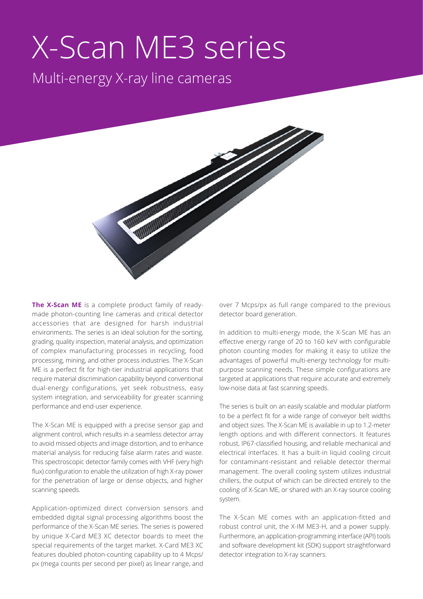# X-Scan ME3 series

Multi-energy X-ray line cameras



**The X-Scan ME** is a complete product family of readymade photon-counting line cameras and critical detector accessories that are designed for harsh industrial environments. The series is an ideal solution for the sorting, grading, quality inspection, material analysis, and optimization of complex manufacturing processes in recycling, food processing, mining, and other process industries. The X-Scan ME is a perfect fit for high-tier industrial applications that require material discrimination capability beyond conventional dual-energy configurations, yet seek robustness, easy system integration, and serviceability for greater scanning performance and end-user experience.

The X-Scan ME is equipped with a precise sensor gap and alignment control, which results in a seamless detector array to avoid missed objects and image distortion, and to enhance material analysis for reducing false alarm rates and waste. This spectroscopic detector family comes with VHF (very high flux) configuration to enable the utilization of high X-ray power for the penetration of large or dense objects, and higher scanning speeds.

Application-optimized direct conversion sensors and embedded digital signal processing algorithms boost the performance of the X-Scan ME series. The series is powered by unique X-Card ME3 XC detector boards to meet the special requirements of the target market. X-Card ME3 XC features doubled photon-counting capability up to 4 Mcps/ px (mega counts per second per pixel) as linear range, and

over 7 Mcps/px as full range compared to the previous detector board generation.

In addition to multi-energy mode, the X-Scan ME has an effective energy range of 20 to 160 keV with configurable photon counting modes for making it easy to utilize the advantages of powerful multi-energy technology for multipurpose scanning needs. These simple configurations are targeted at applications that require accurate and extremely low-noise data at fast scanning speeds.

The series is built on an easily scalable and modular platform to be a perfect fit for a wide range of conveyor belt widths and object sizes. The X-Scan ME is available in up to 1.2-meter length options and with different connectors. It features robust, IP67-classified housing, and reliable mechanical and electrical interfaces. It has a built-in liquid cooling circuit for contaminant-resistant and reliable detector thermal management. The overall cooling system utilizes industrial chillers, the output of which can be directed entirely to the cooling of X-Scan ME, or shared with an X-ray source cooling system.

The X-Scan ME comes with an application-fitted and robust control unit, the X-IM ME3-H, and a power supply. Furthermore, an application-programming interface (API) tools and software development kit (SDK) support straightforward detector integration to X-ray scanners.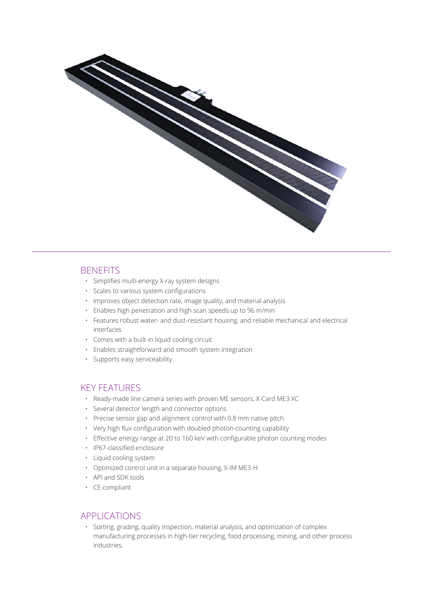

## **BENEFITS**

- Simplifies multi-energy X-ray system designs
- Scales to various system configurations
- Improves object detection rate, image quality, and material analysis
- Enables high penetration and high scan speeds up to 96 m/min
- Features robust water- and dust-resistant housing, and reliable mechanical and electrical interfaces
- Comes with a built-in liquid cooling circuit
- Enables straightforward and smooth system integration
- Supports easy serviceability

### KEY FEATURES

- Ready-made line camera series with proven ME sensors, X-Card ME3 XC
- Several detector length and connector options
- Precise sensor gap and alignment control with 0.8 mm native pitch
- Very high flux configuration with doubled photon-counting capability
- Effective energy range at 20 to 160 keV with configurable photon counting modes
- IP67-classified enclosure
- Liquid cooling system
- Optimized control unit in a separate housing, X-IM ME3-H
- API and SDK tools
- CE compliant

## APPLICATIONS

• Sorting, grading, quality inspection, material analysis, and optimization of complex manufacturing processes in high-tier recycling, food processing, mining, and other process industries.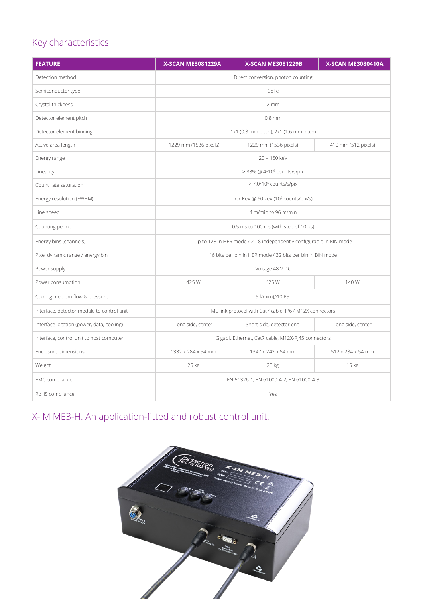# Key characteristics

| <b>FEATURE</b>                             | <b>X-SCAN ME3081229A</b>                                             | <b>X-SCAN ME3081229B</b> | <b>X-SCAN ME3080410A</b> |
|--------------------------------------------|----------------------------------------------------------------------|--------------------------|--------------------------|
| Detection method                           | Direct conversion, photon counting                                   |                          |                          |
| Semiconductor type                         | CdTe                                                                 |                          |                          |
| Crystal thickness                          | 2mm                                                                  |                          |                          |
| Detector element pitch                     | $0.8$ mm                                                             |                          |                          |
| Detector element binning                   | 1x1 (0.8 mm pitch); 2x1 (1.6 mm pitch)                               |                          |                          |
| Active area length                         | 1229 mm (1536 pixels)                                                | 1229 mm (1536 pixels)    | 410 mm (512 pixels)      |
| Energy range                               | 20 - 160 keV                                                         |                          |                          |
| Linearity                                  | $\geq$ 83% @ 4.10 <sup>6</sup> counts/s/pix                          |                          |                          |
| Count rate saturation                      | $>$ 7.0 $\cdot$ 10 $\rm{^6}$ counts/s/pix                            |                          |                          |
| Energy resolution (FWHM)                   | 7.7 KeV @ 60 keV (10 <sup>5</sup> counts/pix/s)                      |                          |                          |
| Line speed                                 | 4 m/min to 96 m/min                                                  |                          |                          |
| Counting period                            | $0.5$ ms to 100 ms (with step of 10 $\mu$ s)                         |                          |                          |
| Energy bins (channels)                     | Up to 128 in HER mode / 2 - 8 independently configurable in BIN mode |                          |                          |
| Pixel dynamic range / energy bin           | 16 bits per bin in HER mode / 32 bits per bin in BIN mode            |                          |                          |
| Power supply                               | Voltage 48 V DC                                                      |                          |                          |
| Power consumption                          | 425 W                                                                | 425 W                    | 140 W                    |
| Cooling medium flow & pressure             | 5 l/min @10 PSI                                                      |                          |                          |
| Interface, detector module to control unit | ME-link protocol with Cat7 cable, IP67 M12X connectors               |                          |                          |
| Interface location (power, data, cooling)  | Long side, center                                                    | Short side, detector end | Long side, center        |
| Interface, control unit to host computer   | Gigabit Ethernet, Cat7 cable, M12X-RJ45 connectors                   |                          |                          |
| Enclosure dimensions                       | 1332 x 284 x 54 mm                                                   | 1347 x 242 x 54 mm       | 512 x 284 x 54 mm        |
| Weight                                     | 25 kg                                                                | 25 kg                    | 15 kg                    |
| EMC compliance                             | EN 61326-1, EN 61000-4-2, EN 61000-4-3                               |                          |                          |
| RoHS compliance                            | Yes                                                                  |                          |                          |

X-IM ME3-H. An application-fitted and robust control unit.

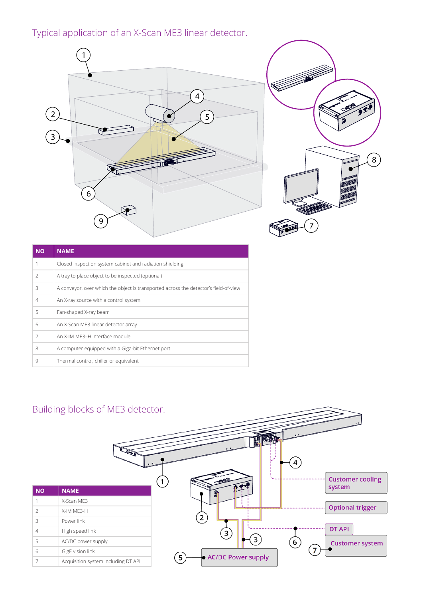# Typical application of an X-Scan ME3 linear detector.





| <b>NO</b>      | <b>NAME</b>                                                                          |
|----------------|--------------------------------------------------------------------------------------|
|                | Closed inspection system cabinet and radiation shielding                             |
| $\mathcal{P}$  | A tray to place object to be inspected (optional)                                    |
| 3              | A conveyor, over which the object is transported across the detector's field-of-view |
| $\overline{4}$ | An X-ray source with a control system                                                |
| 5              | Fan-shaped X-ray beam                                                                |
| 6              | An X-Scan ME3 linear detector array                                                  |
| 7              | An X-IM ME3-H interface module                                                       |
| 8              | A computer equipped with a Giga-bit Ethernet port                                    |
| 9              | Thermal control, chiller or equivalent                                               |

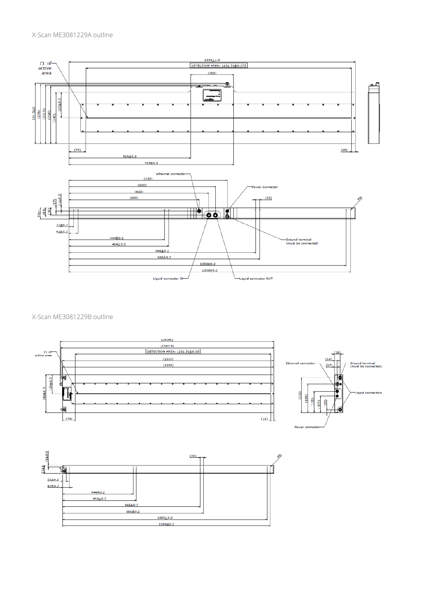

#### X-Scan ME3081229B outline